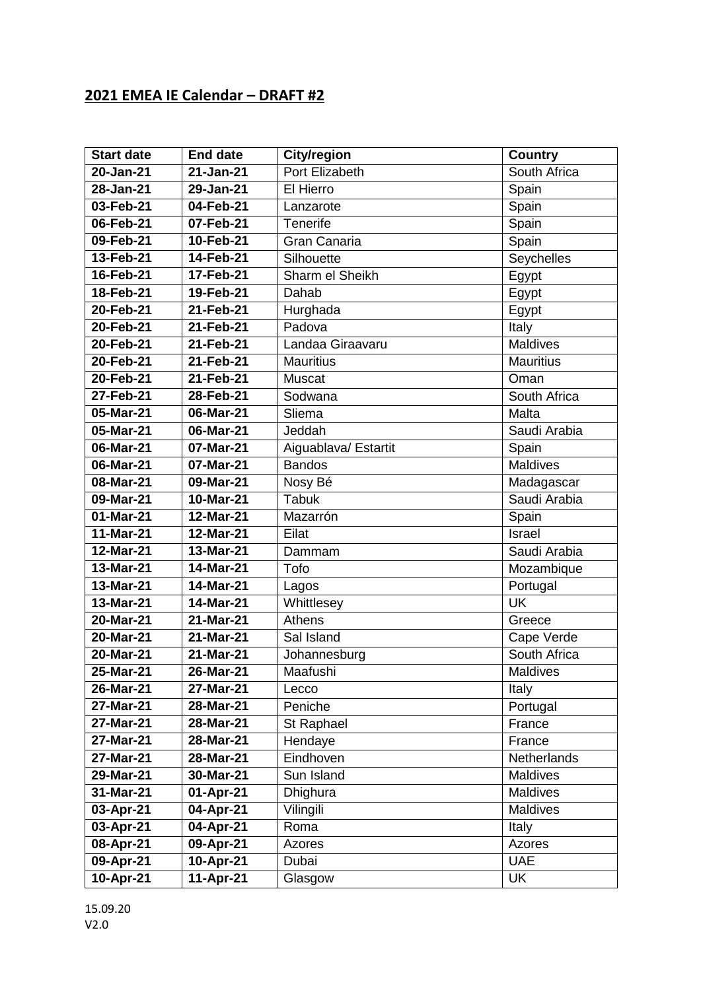## **2021 EMEA IE Calendar – DRAFT #2**

| <b>Start date</b> | <b>End date</b> | City/region          | <b>Country</b>   |
|-------------------|-----------------|----------------------|------------------|
| 20-Jan-21         | 21-Jan-21       | Port Elizabeth       | South Africa     |
| 28-Jan-21         | 29-Jan-21       | El Hierro            | Spain            |
| 03-Feb-21         | 04-Feb-21       | Lanzarote            | Spain            |
| 06-Feb-21         | 07-Feb-21       | Tenerife             | Spain            |
| 09-Feb-21         | 10-Feb-21       | Gran Canaria         | Spain            |
| 13-Feb-21         | 14-Feb-21       | Silhouette           | Seychelles       |
| 16-Feb-21         | 17-Feb-21       | Sharm el Sheikh      | Egypt            |
| 18-Feb-21         | 19-Feb-21       | Dahab                | Egypt            |
| 20-Feb-21         | 21-Feb-21       | Hurghada             | Egypt            |
| 20-Feb-21         | 21-Feb-21       | Padova               | Italy            |
| 20-Feb-21         | 21-Feb-21       | Landaa Giraavaru     | Maldives         |
| 20-Feb-21         | 21-Feb-21       | <b>Mauritius</b>     | <b>Mauritius</b> |
| 20-Feb-21         | 21-Feb-21       | Muscat               | Oman             |
| 27-Feb-21         | 28-Feb-21       | Sodwana              | South Africa     |
| 05-Mar-21         | 06-Mar-21       | Sliema               | Malta            |
| 05-Mar-21         | 06-Mar-21       | Jeddah               | Saudi Arabia     |
| 06-Mar-21         | 07-Mar-21       | Aiguablava/ Estartit | Spain            |
| 06-Mar-21         | 07-Mar-21       | <b>Bandos</b>        | <b>Maldives</b>  |
| 08-Mar-21         | 09-Mar-21       | Nosy Bé              | Madagascar       |
| 09-Mar-21         | 10-Mar-21       | <b>Tabuk</b>         | Saudi Arabia     |
| 01-Mar-21         | 12-Mar-21       | Mazarrón             | Spain            |
| $11-Mar-21$       | 12-Mar-21       | Eilat                | Israel           |
| 12-Mar-21         | 13-Mar-21       | Dammam               | Saudi Arabia     |
| 13-Mar-21         | 14-Mar-21       | Tofo                 | Mozambique       |
| 13-Mar-21         | 14-Mar-21       | Lagos                | Portugal         |
| 13-Mar-21         | 14-Mar-21       | Whittlesey           | <b>UK</b>        |
| 20-Mar-21         | 21-Mar-21       | Athens               | Greece           |
| 20-Mar-21         | 21-Mar-21       | Sal Island           | Cape Verde       |
| $20$ -Mar-21      | 21-Mar-21       | Johannesburg         | South Africa     |
| 25-Mar-21         | 26-Mar-21       | Maafushi             | Maldives         |
| 26-Mar-21         | 27-Mar-21       | Lecco                | Italy            |
| 27-Mar-21         | 28-Mar-21       | Peniche              | Portugal         |
| 27-Mar-21         | $28$ -Mar-21    | St Raphael           | France           |
| 27-Mar-21         | 28-Mar-21       | Hendaye              | France           |
| 27-Mar-21         | 28-Mar-21       | Eindhoven            | Netherlands      |
| 29-Mar-21         | 30-Mar-21       | Sun Island           | <b>Maldives</b>  |
| $31-Mar-21$       | 01-Apr-21       | Dhighura             | <b>Maldives</b>  |
| 03-Apr-21         | 04-Apr-21       | Vilingili            | Maldives         |
| 03-Apr-21         | 04-Apr-21       | Roma                 | Italy            |
| 08-Apr-21         | 09-Apr-21       | Azores               | Azores           |
| 09-Apr-21         | 10-Apr-21       | Dubai                | <b>UAE</b>       |
| 10-Apr-21         | 11-Apr-21       | Glasgow              | UK               |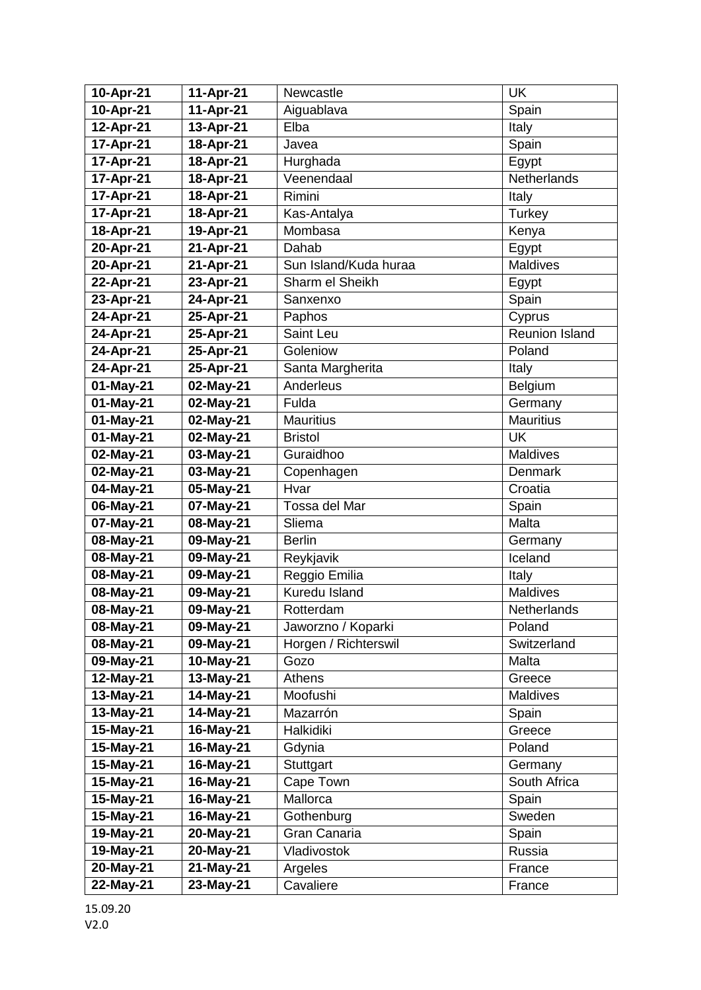| 10-Apr-21               | 11-Apr-21              | Newcastle                       | UK                    |
|-------------------------|------------------------|---------------------------------|-----------------------|
| 10-Apr-21               | 11-Apr-21              | Aiguablava                      | Spain                 |
| 12-Apr-21               | 13-Apr-21              | Elba                            | Italy                 |
| 17-Apr-21               | 18-Apr-21              | Javea                           | Spain                 |
| 17-Apr-21               | 18-Apr-21              | Hurghada                        | Egypt                 |
| 17-Apr-21               | 18-Apr-21              | Veenendaal                      | Netherlands           |
| 17-Apr-21               | 18-Apr-21              | Rimini                          | Italy                 |
| 17-Apr-21               | 18-Apr-21              | Kas-Antalya                     | Turkey                |
| 18-Apr-21               | 19-Apr-21              | Mombasa                         | Kenya                 |
| 20-Apr-21               | 21-Apr-21              | Dahab                           | Egypt                 |
| 20-Apr-21               | 21-Apr-21              | Sun Island/Kuda huraa           | <b>Maldives</b>       |
| 22-Apr-21               | 23-Apr-21              | Sharm el Sheikh                 | Egypt                 |
| 23-Apr-21               | 24-Apr-21              | Sanxenxo                        | Spain                 |
| 24-Apr-21               | 25-Apr-21              | Paphos                          | Cyprus                |
| 24-Apr-21               | 25-Apr-21              | Saint Leu                       | Reunion Island        |
| 24-Apr-21               | 25-Apr-21              | Goleniow                        | Poland                |
| 24-Apr-21               | 25-Apr-21              | Santa Margherita                | Italy                 |
| 01-May-21               | 02-May-21              | Anderleus                       | Belgium               |
| 01-May-21               | 02-May-21              | Fulda                           | Germany               |
| 01-May-21               | 02-May-21              | <b>Mauritius</b>                | <b>Mauritius</b>      |
| 01-May-21               | 02-May-21              | <b>Bristol</b>                  | <b>UK</b>             |
| 02-May-21               | 03-May-21              | Guraidhoo                       | <b>Maldives</b>       |
| 02-May-21               | 03-May-21              | Copenhagen                      | Denmark               |
| 04-May-21               | 05-May-21              | Hvar                            | Croatia               |
| 06-May-21               | 07-May-21              | Tossa del Mar                   | Spain                 |
| $\overline{07}$ -May-21 | 08-May-21              | Sliema                          | Malta                 |
| 08-May-21               | 09-May-21              | <b>Berlin</b>                   | Germany               |
| 08-May-21               | 09-May-21              | Reykjavik                       | Iceland               |
| 08-May-21               | 09-May-21              | Reggio Emilia                   | Italy                 |
| 08-May-21               | 09-May-21              | Kuredu Island                   | Maldives              |
| 08-May-21<br>08-May-21  | 09-May-21<br>09-May-21 | Rotterdam<br>Jaworzno / Koparki | Netherlands<br>Poland |
| 08-May-21               | 09-May-21              | Horgen / Richterswil            | Switzerland           |
| 09-May-21               | 10-May-21              | Gozo                            | Malta                 |
| 12-May-21               | 13-May-21              | <b>Athens</b>                   | Greece                |
| 13-May-21               | 14-May-21              | Moofushi                        | <b>Maldives</b>       |
| 13-May-21               | 14-May-21              | Mazarrón                        | Spain                 |
| 15-May-21               | 16-May-21              | Halkidiki                       | Greece                |
| 15-May-21               | 16-May-21              | Gdynia                          | Poland                |
| 15-May-21               | 16-May-21              | <b>Stuttgart</b>                | Germany               |
| 15-May-21               | 16-May-21              | Cape Town                       | South Africa          |
| 15-May-21               | 16-May-21              | Mallorca                        | Spain                 |
| 15-May-21               | 16-May-21              | Gothenburg                      | Sweden                |
| 19-May-21               | 20-May-21              | Gran Canaria                    | Spain                 |
| 19-May-21               | 20-May-21              | Vladivostok                     | Russia                |
| 20-May-21               | 21-May-21              | Argeles                         | France                |
| 22-May-21               | 23-May-21              | Cavaliere                       | France                |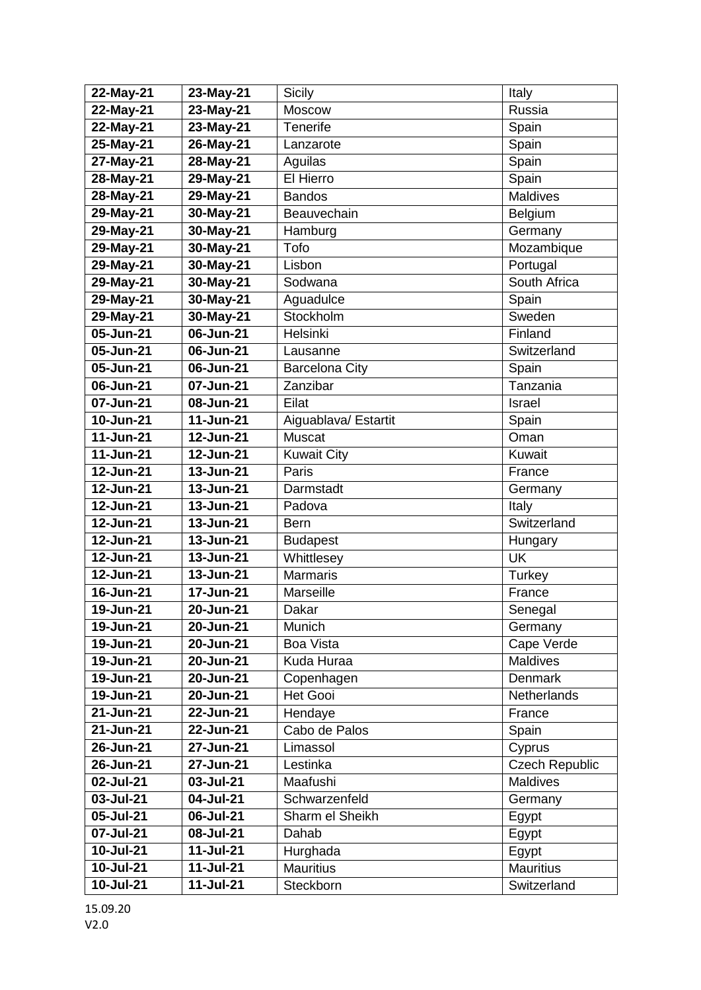| $22-May-21$            | 23-May-21              | Sicily                        | Italy                         |
|------------------------|------------------------|-------------------------------|-------------------------------|
| 22-May-21              | 23-May-21              | Moscow                        | Russia                        |
| $22-May-21$            | 23-May-21              | Tenerife                      | Spain                         |
| 25-May-21              | 26-May-21              | Lanzarote                     | Spain                         |
| 27-May-21              | 28-May-21              | Aguilas                       | Spain                         |
| 28-May-21              | 29-May-21              | El Hierro                     | Spain                         |
| 28-May-21              | 29-May-21              | <b>Bandos</b>                 | <b>Maldives</b>               |
| 29-May-21              | 30-May-21              | Beauvechain                   | Belgium                       |
| 29-May-21              | 30-May-21              | Hamburg                       | Germany                       |
| 29-May-21              | 30-May-21              | Tofo                          | Mozambique                    |
| 29-May-21              | 30-May-21              | Lisbon                        | Portugal                      |
| 29-May-21              | 30-May-21              | Sodwana                       | South Africa                  |
| 29-May-21              | 30-May-21              | Aguadulce                     | Spain                         |
| 29-May-21              | 30-May-21              | Stockholm                     | Sweden                        |
| 05-Jun-21              | 06-Jun-21              | Helsinki                      | Finland                       |
| 05-Jun-21              | 06-Jun-21              | Lausanne                      | Switzerland                   |
| 05-Jun-21              | 06-Jun-21              | <b>Barcelona City</b>         | Spain                         |
| 06-Jun-21              | 07-Jun-21              | Zanzibar                      | Tanzania                      |
| 07-Jun-21              | 08-Jun-21              | Eilat                         | Israel                        |
| 10-Jun-21              | 11-Jun-21              | Aiguablava/ Estartit          | Spain                         |
| 11-Jun-21              | 12-Jun-21              | <b>Muscat</b>                 | Oman                          |
| 11-Jun-21              | 12-Jun-21              | <b>Kuwait City</b>            | Kuwait                        |
| 12-Jun-21              | 13-Jun-21              | Paris                         | France                        |
| 12-Jun-21              | 13-Jun-21              | Darmstadt                     | Germany                       |
| 12-Jun-21              | 13-Jun-21              | Padova                        | Italy                         |
| 12-Jun-21              | 13-Jun-21              | <b>Bern</b>                   | Switzerland                   |
| 12-Jun-21              | 13-Jun-21              | <b>Budapest</b>               | Hungary                       |
| 12-Jun-21              | 13-Jun-21              | Whittlesey                    | <b>UK</b>                     |
| 12-Jun-21              | 13-Jun-21              | <b>Marmaris</b>               | Turkey                        |
| 16-Jun-21              | 17-Jun-21              | Marseille                     | France                        |
| 19-Jun-21              | 20-Jun-21              | Dakar                         | Senegal                       |
| 19-Jun-21              | 20-Jun-21              | Munich<br><b>Boa Vista</b>    | Germany                       |
| 19-Jun-21<br>19-Jun-21 | 20-Jun-21<br>20-Jun-21 | Kuda Huraa                    | Cape Verde<br><b>Maldives</b> |
| 19-Jun-21              | 20-Jun-21              |                               | Denmark                       |
| 19-Jun-21              | 20-Jun-21              | Copenhagen<br><b>Het Gooi</b> | Netherlands                   |
| 21-Jun-21              | 22-Jun-21              | Hendaye                       | France                        |
| 21-Jun-21              | 22-Jun-21              | Cabo de Palos                 | Spain                         |
| 26-Jun-21              | 27-Jun-21              | Limassol                      | Cyprus                        |
| 26-Jun-21              | 27-Jun-21              | Lestinka                      | <b>Czech Republic</b>         |
| 02-Jul-21              | $03$ -Jul-21           | Maafushi                      | Maldives                      |
| 03-Jul-21              | 04-Jul-21              | Schwarzenfeld                 | Germany                       |
| 05-Jul-21              | 06-Jul-21              | Sharm el Sheikh               | Egypt                         |
| 07-Jul-21              | 08-Jul-21              | Dahab                         | Egypt                         |
| 10-Jul-21              | $11 -$ Jul-21          | Hurghada                      | Egypt                         |
| 10-Jul-21              | 11-Jul-21              | <b>Mauritius</b>              | <b>Mauritius</b>              |
| 10-Jul-21              | 11-Jul-21              | Steckborn                     | Switzerland                   |
|                        |                        |                               |                               |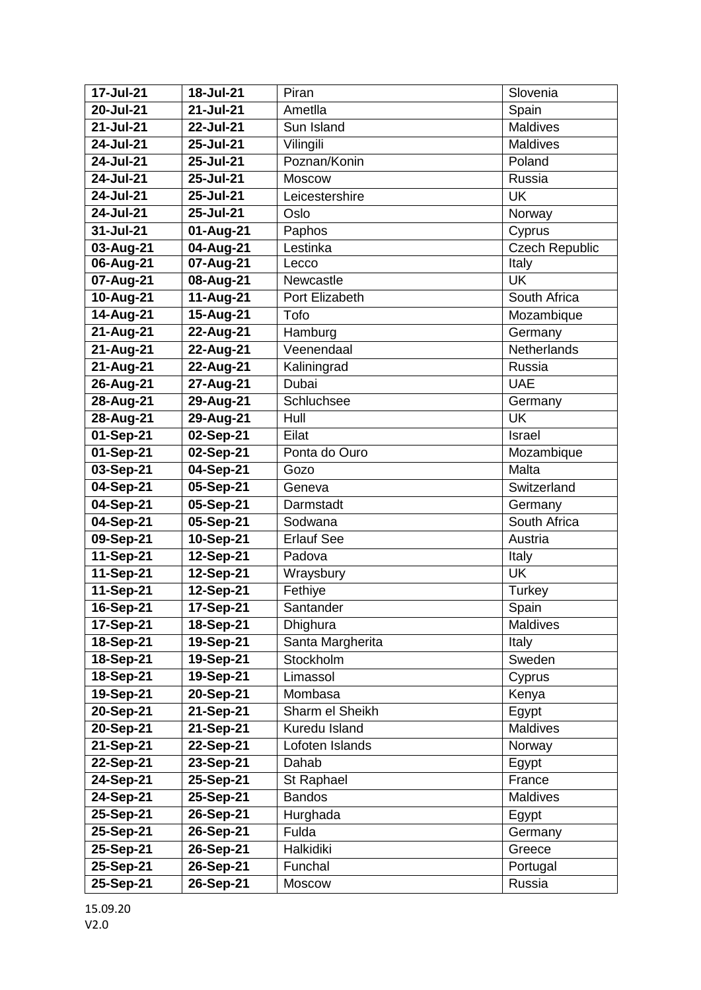| 17-Jul-21     | 18-Jul-21 | Piran              | Slovenia              |
|---------------|-----------|--------------------|-----------------------|
| 20-Jul-21     | 21-Jul-21 | Ametlla            | Spain                 |
| 21-Jul-21     | 22-Jul-21 | Sun Island         | <b>Maldives</b>       |
| 24-Jul-21     | 25-Jul-21 | Vilingili          | <b>Maldives</b>       |
| 24-Jul-21     | 25-Jul-21 | Poznan/Konin       | Poland                |
| 24-Jul-21     | 25-Jul-21 | <b>Moscow</b>      | Russia                |
| 24-Jul-21     | 25-Jul-21 | Leicestershire     | <b>UK</b>             |
| 24-Jul-21     | 25-Jul-21 | Oslo               | Norway                |
| $31 -$ Jul-21 | 01-Aug-21 | Paphos             | Cyprus                |
| 03-Aug-21     | 04-Aug-21 | Lestinka           | <b>Czech Republic</b> |
| 06-Aug-21     | 07-Aug-21 | Lecco              | Italy                 |
| 07-Aug-21     | 08-Aug-21 | Newcastle          | <b>UK</b>             |
| 10-Aug-21     | 11-Aug-21 | Port Elizabeth     | South Africa          |
| 14-Aug-21     | 15-Aug-21 | Tofo               | Mozambique            |
| 21-Aug-21     | 22-Aug-21 | Hamburg            | Germany               |
| 21-Aug-21     | 22-Aug-21 | Veenendaal         | Netherlands           |
| 21-Aug-21     | 22-Aug-21 | Kaliningrad        | Russia                |
| 26-Aug-21     | 27-Aug-21 | Dubai              | <b>UAE</b>            |
| 28-Aug-21     | 29-Aug-21 | Schluchsee         | Germany               |
| 28-Aug-21     | 29-Aug-21 | Hull               | <b>UK</b>             |
| 01-Sep-21     | 02-Sep-21 | Eilat              | Israel                |
| 01-Sep-21     | 02-Sep-21 | Ponta do Ouro      | Mozambique            |
| 03-Sep-21     | 04-Sep-21 | Gozo               | Malta                 |
| 04-Sep-21     | 05-Sep-21 | Geneva             | Switzerland           |
| 04-Sep-21     | 05-Sep-21 | Darmstadt          | Germany               |
| 04-Sep-21     | 05-Sep-21 | Sodwana            | South Africa          |
| 09-Sep-21     | 10-Sep-21 | <b>Erlauf See</b>  | Austria               |
| 11-Sep-21     | 12-Sep-21 | Padova             | Italy                 |
| 11-Sep-21     | 12-Sep-21 | Wraysbury          | <b>UK</b>             |
| 11-Sep-21     | 12-Sep-21 | Fethiye            | Turkey                |
| 16-Sep-21     | 17-Sep-21 | Santander          | Spain                 |
| 17-Sep-21     | 18-Sep-21 | Dhighura           | Maldives              |
| 18-Sep-21     | 19-Sep-21 | Santa Margherita   | Italy                 |
| 18-Sep-21     | 19-Sep-21 | Stockholm          | Sweden                |
| 18-Sep-21     | 19-Sep-21 | Limassol           | Cyprus                |
| 19-Sep-21     | 20-Sep-21 | Mombasa            | Kenya                 |
| 20-Sep-21     | 21-Sep-21 | Sharm el Sheikh    | Egypt                 |
| 20-Sep-21     | 21-Sep-21 | Kuredu Island      | Maldives              |
| 21-Sep-21     | 22-Sep-21 | Lofoten Islands    | Norway                |
| 22-Sep-21     | 23-Sep-21 | Dahab              | Egypt                 |
| 24-Sep-21     | 25-Sep-21 | St Raphael         | France                |
| 24-Sep-21     | 25-Sep-21 | <b>Bandos</b>      | Maldives              |
| 25-Sep-21     | 26-Sep-21 | Hurghada           | Egypt                 |
| 25-Sep-21     | 26-Sep-21 | Fulda<br>Halkidiki | Germany<br>Greece     |
| 25-Sep-21     | 26-Sep-21 | Funchal            |                       |
| 25-Sep-21     | 26-Sep-21 |                    | Portugal              |
| 25-Sep-21     | 26-Sep-21 | Moscow             | Russia                |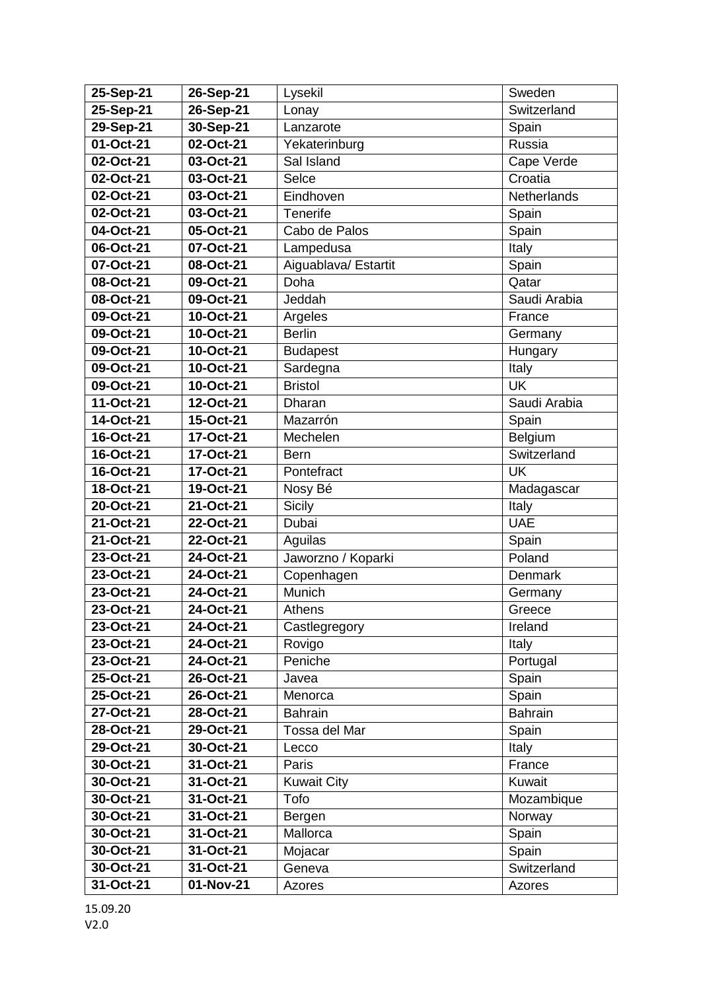| 25-Sep-21              | 26-Sep-21              | Lysekil              | Sweden         |
|------------------------|------------------------|----------------------|----------------|
| 25-Sep-21              | 26-Sep-21              | Lonay                | Switzerland    |
| 29-Sep-21              | 30-Sep-21              | Lanzarote            | Spain          |
| 01-Oct-21              | 02-Oct-21              | Yekaterinburg        | Russia         |
| 02-Oct-21              | 03-Oct-21              | Sal Island           | Cape Verde     |
| 02-Oct-21              | 03-Oct-21              | Selce                | Croatia        |
| 02-Oct-21              | 03-Oct-21              | Eindhoven            | Netherlands    |
| 02-Oct-21              | 03-Oct-21              | Tenerife             | Spain          |
| 04-Oct-21              | 05-Oct-21              | Cabo de Palos        | Spain          |
| 06-Oct-21              | 07-Oct-21              | Lampedusa            | Italy          |
| 07-Oct-21              | 08-Oct-21              | Aiguablava/ Estartit | Spain          |
| 08-Oct-21              | 09-Oct-21              | Doha                 | Qatar          |
| 08-Oct-21              | 09-Oct-21              | Jeddah               | Saudi Arabia   |
| 09-Oct-21              | 10-Oct-21              | Argeles              | France         |
| 09-Oct-21              | 10-Oct-21              | <b>Berlin</b>        | Germany        |
| 09-Oct-21              | 10-Oct-21              | <b>Budapest</b>      | Hungary        |
| 09-Oct-21              | 10-Oct-21              | Sardegna             | Italy          |
| 09-Oct-21              | 10-Oct-21              | <b>Bristol</b>       | <b>UK</b>      |
| 11-Oct-21              | 12-Oct-21              | Dharan               | Saudi Arabia   |
| 14-Oct-21              | 15-Oct-21              | Mazarrón             | Spain          |
| 16-Oct-21              | 17-Oct-21              | Mechelen             | Belgium        |
| 16-Oct-21              | 17-Oct-21              | <b>Bern</b>          | Switzerland    |
| 16-Oct-21              | 17-Oct-21              | Pontefract           | <b>UK</b>      |
| 18-Oct-21              | 19-Oct-21              | Nosy Bé              | Madagascar     |
| 20-Oct-21              | 21-Oct-21              | <b>Sicily</b>        | Italy          |
| 21-Oct-21              | 22-Oct-21              | Dubai                | <b>UAE</b>     |
| 21-Oct-21              | 22-Oct-21              | Aguilas              | Spain          |
| 23-Oct-21              | 24-Oct-21              | Jaworzno / Koparki   | Poland         |
| 23-Oct-21              | 24-Oct-21              | Copenhagen           | Denmark        |
| 23-Oct-21              | 24-Oct-21              | Munich               | Germany        |
| 23-Oct-21              | 24-Oct-21              | <b>Athens</b>        | Greece         |
| 23-Oct-21              | 24-Oct-21              | Castlegregory        | Ireland        |
| 23-Oct-21              | 24-Oct-21              | Rovigo               | Italy          |
| 23-Oct-21<br>25-Oct-21 | 24-Oct-21<br>26-Oct-21 | Peniche              | Portugal       |
| 25-Oct-21              | 26-Oct-21              | Javea<br>Menorca     | Spain<br>Spain |
| 27-Oct-21              | 28-Oct-21              | <b>Bahrain</b>       | <b>Bahrain</b> |
| 28-Oct-21              | 29-Oct-21              | Tossa del Mar        | Spain          |
| 29-Oct-21              | 30-Oct-21              | Lecco                | Italy          |
| 30-Oct-21              | 31-Oct-21              | Paris                | France         |
| 30-Oct-21              | 31-Oct-21              | <b>Kuwait City</b>   | Kuwait         |
| 30-Oct-21              | 31-Oct-21              | Tofo                 | Mozambique     |
| 30-Oct-21              | 31-Oct-21              | Bergen               | Norway         |
| 30-Oct-21              | 31-Oct-21              | Mallorca             | Spain          |
| 30-Oct-21              | 31-Oct-21              | Mojacar              | Spain          |
| 30-Oct-21              | 31-Oct-21              | Geneva               | Switzerland    |
| 31-Oct-21              | 01-Nov-21              | Azores               | Azores         |